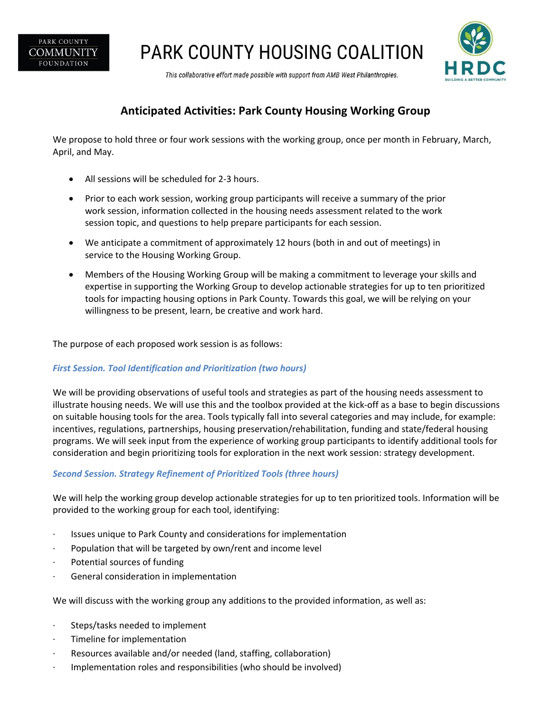

PARK COUNTY HOUSING COALITION



This collaborative effort made possible with support from AMB West Philanthropies.

# **Anticipated Activities: Park County Housing Working Group**

We propose to hold three or four work sessions with the working group, once per month in February, March, April, and May.

- All sessions will be scheduled for 2-3 hours.
- Prior to each work session, working group participants will receive a summary of the prior work session, information collected in the housing needs assessment related to the work session topic, and questions to help prepare participants for each session.
- We anticipate a commitment of approximately 12 hours (both in and out of meetings) in service to the Housing Working Group.
- Members of the Housing Working Group will be making a commitment to leverage your skills and expertise in supporting the Working Group to develop actionable strategies for up to ten prioritized tools for impacting housing options in Park County. Towards this goal, we will be relying on your willingness to be present, learn, be creative and work hard.

The purpose of each proposed work session is as follows:

### *First Session. Tool Identification and Prioritization (two hours)*

We will be providing observations of useful tools and strategies as part of the housing needs assessment to illustrate housing needs. We will use this and the toolbox provided at the kick-off as a base to begin discussions on suitable housing tools for the area. Tools typically fall into several categories and may include, for example: incentives, regulations, partnerships, housing preservation/rehabilitation, funding and state/federal housing programs. We will seek input from the experience of working group participants to identify additional tools for consideration and begin prioritizing tools for exploration in the next work session: strategy development.

# *Second Session. Strategy Refinement of Prioritized Tools (three hours)*

We will help the working group develop actionable strategies for up to ten prioritized tools. Information will be provided to the working group for each tool, identifying:

- · Issues unique to Park County and considerations for implementation
- · Population that will be targeted by own/rent and income level
- · Potential sources of funding
- · General consideration in implementation

We will discuss with the working group any additions to the provided information, as well as:

- · Steps/tasks needed to implement
- Timeline for implementation
- · Resources available and/or needed (land, staffing, collaboration)
- · Implementation roles and responsibilities (who should be involved)